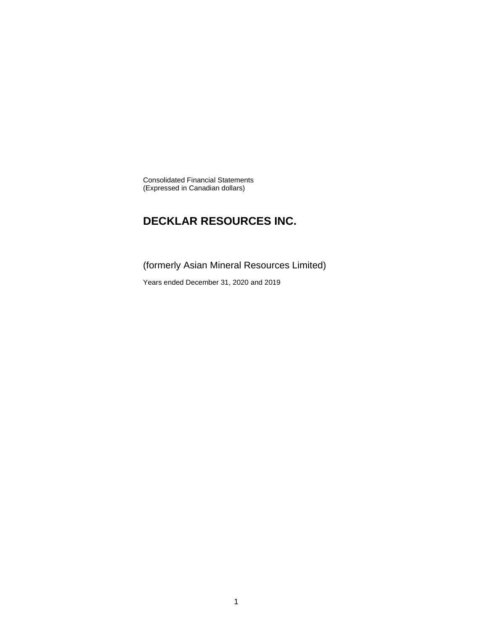Consolidated Financial Statements (Expressed in Canadian dollars)

### **DECKLAR RESOURCES INC.**

(formerly Asian Mineral Resources Limited)

Years ended December 31, 2020 and 2019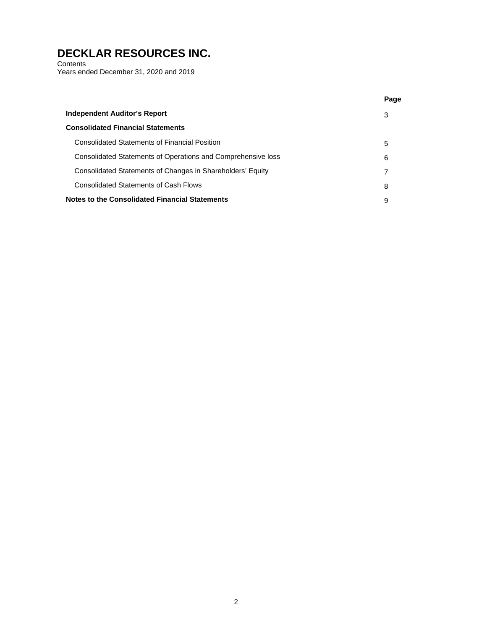**Contents** Years ended December 31, 2020 and 2019

|                                                              | Page |
|--------------------------------------------------------------|------|
| Independent Auditor's Report                                 | 3    |
| <b>Consolidated Financial Statements</b>                     |      |
| <b>Consolidated Statements of Financial Position</b>         | 5    |
| Consolidated Statements of Operations and Comprehensive loss | 6    |
| Consolidated Statements of Changes in Shareholders' Equity   | 7    |
| <b>Consolidated Statements of Cash Flows</b>                 | 8    |
| Notes to the Consolidated Financial Statements               | 9    |
|                                                              |      |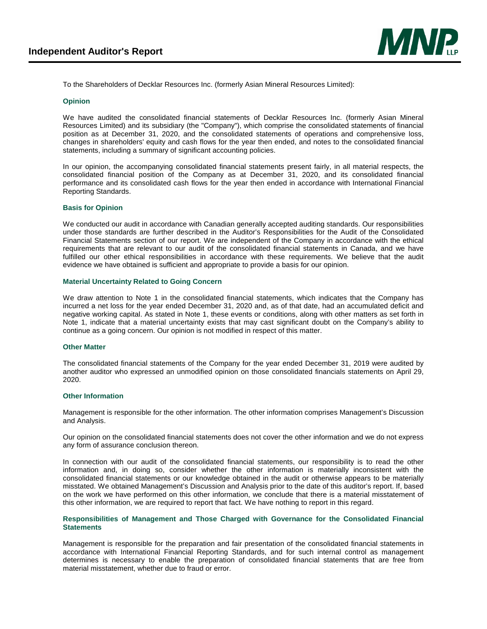

To the Shareholders of Decklar Resources Inc. (formerly Asian Mineral Resources Limited):

#### **Opinion**

We have audited the consolidated financial statements of Decklar Resources Inc. (formerly Asian Mineral Resources Limited) and its subsidiary (the "Company"), which comprise the consolidated statements of financial position as at December 31, 2020, and the consolidated statements of operations and comprehensive loss, changes in shareholders' equity and cash flows for the year then ended, and notes to the consolidated financial statements, including a summary of significant accounting policies.

In our opinion, the accompanying consolidated financial statements present fairly, in all material respects, the consolidated financial position of the Company as at December 31, 2020, and its consolidated financial performance and its consolidated cash flows for the year then ended in accordance with International Financial Reporting Standards.

#### **Basis for Opinion**

We conducted our audit in accordance with Canadian generally accepted auditing standards. Our responsibilities under those standards are further described in the Auditor's Responsibilities for the Audit of the Consolidated Financial Statements section of our report. We are independent of the Company in accordance with the ethical requirements that are relevant to our audit of the consolidated financial statements in Canada, and we have fulfilled our other ethical responsibilities in accordance with these requirements. We believe that the audit evidence we have obtained is sufficient and appropriate to provide a basis for our opinion.

#### **Material Uncertainty Related to Going Concern**

We draw attention to Note 1 in the consolidated financial statements, which indicates that the Company has incurred a net loss for the year ended December 31, 2020 and, as of that date, had an accumulated deficit and negative working capital. As stated in Note 1, these events or conditions, along with other matters as set forth in Note 1, indicate that a material uncertainty exists that may cast significant doubt on the Company's ability to continue as a going concern. Our opinion is not modified in respect of this matter.

#### **Other Matter**

The consolidated financial statements of the Company for the year ended December 31, 2019 were audited by another auditor who expressed an unmodified opinion on those consolidated financials statements on April 29, 2020.

#### **Other Information**

Management is responsible for the other information. The other information comprises Management's Discussion and Analysis.

Our opinion on the consolidated financial statements does not cover the other information and we do not express any form of assurance conclusion thereon.

In connection with our audit of the consolidated financial statements, our responsibility is to read the other information and, in doing so, consider whether the other information is materially inconsistent with the consolidated financial statements or our knowledge obtained in the audit or otherwise appears to be materially misstated. We obtained Management's Discussion and Analysis prior to the date of this auditor's report. If, based on the work we have performed on this other information, we conclude that there is a material misstatement of this other information, we are required to report that fact. We have nothing to report in this regard.

#### **Responsibilities of Management and Those Charged with Governance for the Consolidated Financial Statements**

Management is responsible for the preparation and fair presentation of the consolidated financial statements in accordance with International Financial Reporting Standards, and for such internal control as management determines is necessary to enable the preparation of consolidated financial statements that are free from material misstatement, whether due to fraud or error.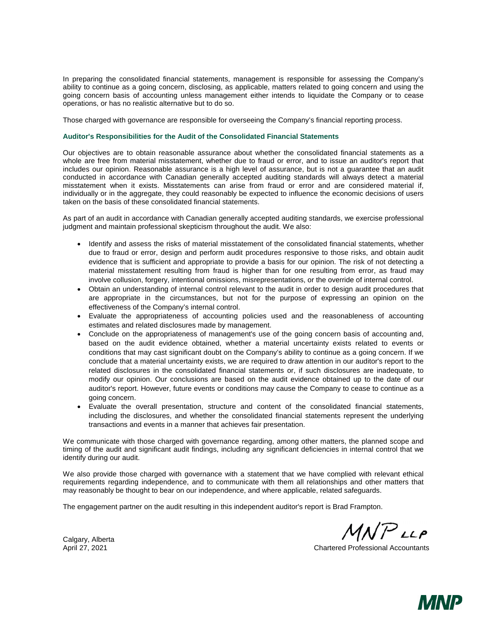In preparing the consolidated financial statements, management is responsible for assessing the Company's ability to continue as a going concern, disclosing, as applicable, matters related to going concern and using the going concern basis of accounting unless management either intends to liquidate the Company or to cease operations, or has no realistic alternative but to do so.

Those charged with governance are responsible for overseeing the Company's financial reporting process.

#### **Auditor's Responsibilities for the Audit of the Consolidated Financial Statements**

Our objectives are to obtain reasonable assurance about whether the consolidated financial statements as a whole are free from material misstatement, whether due to fraud or error, and to issue an auditor's report that includes our opinion. Reasonable assurance is a high level of assurance, but is not a guarantee that an audit conducted in accordance with Canadian generally accepted auditing standards will always detect a material misstatement when it exists. Misstatements can arise from fraud or error and are considered material if, individually or in the aggregate, they could reasonably be expected to influence the economic decisions of users taken on the basis of these consolidated financial statements.

As part of an audit in accordance with Canadian generally accepted auditing standards, we exercise professional judgment and maintain professional skepticism throughout the audit. We also:

- Identify and assess the risks of material misstatement of the consolidated financial statements, whether due to fraud or error, design and perform audit procedures responsive to those risks, and obtain audit evidence that is sufficient and appropriate to provide a basis for our opinion. The risk of not detecting a material misstatement resulting from fraud is higher than for one resulting from error, as fraud may involve collusion, forgery, intentional omissions, misrepresentations, or the override of internal control.
- Obtain an understanding of internal control relevant to the audit in order to design audit procedures that are appropriate in the circumstances, but not for the purpose of expressing an opinion on the effectiveness of the Company's internal control.
- Evaluate the appropriateness of accounting policies used and the reasonableness of accounting estimates and related disclosures made by management.
- Conclude on the appropriateness of management's use of the going concern basis of accounting and, based on the audit evidence obtained, whether a material uncertainty exists related to events or conditions that may cast significant doubt on the Company's ability to continue as a going concern. If we conclude that a material uncertainty exists, we are required to draw attention in our auditor's report to the related disclosures in the consolidated financial statements or, if such disclosures are inadequate, to modify our opinion. Our conclusions are based on the audit evidence obtained up to the date of our auditor's report. However, future events or conditions may cause the Company to cease to continue as a going concern.
- Evaluate the overall presentation, structure and content of the consolidated financial statements, including the disclosures, and whether the consolidated financial statements represent the underlying transactions and events in a manner that achieves fair presentation.

We communicate with those charged with governance regarding, among other matters, the planned scope and timing of the audit and significant audit findings, including any significant deficiencies in internal control that we identify during our audit.

We also provide those charged with governance with a statement that we have complied with relevant ethical requirements regarding independence, and to communicate with them all relationships and other matters that may reasonably be thought to bear on our independence, and where applicable, related safeguards.

The engagement partner on the audit resulting in this independent auditor's report is Brad Frampton.

MNP<sub>LLP</sub>

Calgary, Alberta

April 27, 2021 Chartered Professional Accountants

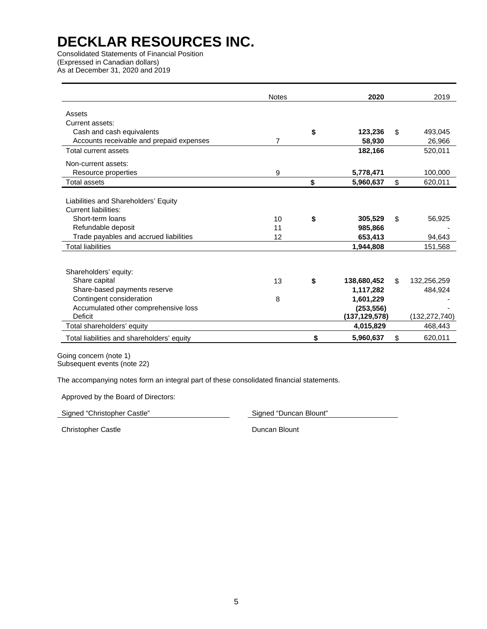Consolidated Statements of Financial Position (Expressed in Canadian dollars) As at December 31, 2020 and 2019

|                                            | <b>Notes</b> | 2020              | 2019              |
|--------------------------------------------|--------------|-------------------|-------------------|
|                                            |              |                   |                   |
| Assets                                     |              |                   |                   |
| Current assets:                            |              |                   |                   |
| Cash and cash equivalents                  |              | \$<br>123,236     | \$<br>493,045     |
| Accounts receivable and prepaid expenses   | 7            | 58,930            | 26,966            |
| Total current assets                       |              | 182,166           | 520,011           |
| Non-current assets:                        |              |                   |                   |
| Resource properties                        | 9            | 5,778,471         | 100,000           |
| Total assets                               |              | \$<br>5,960,637   | \$<br>620,011     |
|                                            |              |                   |                   |
| Liabilities and Shareholders' Equity       |              |                   |                   |
| <b>Current liabilities:</b>                |              |                   |                   |
| Short-term loans                           | 10           | \$<br>305,529     | \$<br>56,925      |
| Refundable deposit                         | 11           | 985.866           |                   |
| Trade payables and accrued liabilities     | 12           | 653,413           | 94,643            |
| <b>Total liabilities</b>                   |              | 1,944,808         | 151,568           |
|                                            |              |                   |                   |
| Shareholders' equity:                      |              |                   |                   |
| Share capital                              | 13           | \$<br>138,680,452 | \$<br>132,256,259 |
| Share-based payments reserve               |              | 1,117,282         | 484.924           |
| Contingent consideration                   | 8            | 1,601,229         |                   |
| Accumulated other comprehensive loss       |              | (253, 556)        |                   |
| Deficit                                    |              | (137,129,578)     | (132, 272, 740)   |
| Total shareholders' equity                 |              | 4,015,829         | 468,443           |
| Total liabilities and shareholders' equity |              | \$<br>5,960,637   | \$<br>620,011     |

Going concern (note 1) Subsequent events (note 22)

The accompanying notes form an integral part of these consolidated financial statements.

Approved by the Board of Directors:

Signed "Christopher Castle" Signed "Duncan Blount"

Christopher Castle **Duncan Blount**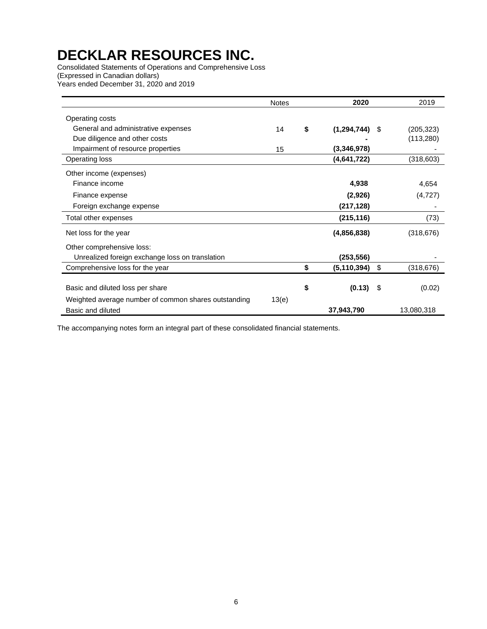Consolidated Statements of Operations and Comprehensive Loss (Expressed in Canadian dollars) Years ended December 31, 2020 and 2019

|                                                      | <b>Notes</b> | 2020                |      | 2019       |
|------------------------------------------------------|--------------|---------------------|------|------------|
| Operating costs                                      |              |                     |      |            |
| General and administrative expenses                  | 14           | \$<br>(1, 294, 744) | - \$ | (205, 323) |
| Due diligence and other costs                        |              |                     |      | (113,280)  |
| Impairment of resource properties                    | 15           | (3,346,978)         |      |            |
| <b>Operating loss</b>                                |              | (4,641,722)         |      | (318, 603) |
|                                                      |              |                     |      |            |
| Other income (expenses)                              |              |                     |      |            |
| Finance income                                       |              | 4,938               |      | 4,654      |
| Finance expense                                      |              | (2,926)             |      | (4, 727)   |
| Foreign exchange expense                             |              | (217, 128)          |      |            |
| Total other expenses                                 |              | (215, 116)          |      | (73)       |
| Net loss for the year                                |              | (4,856,838)         |      | (318, 676) |
| Other comprehensive loss:                            |              |                     |      |            |
| Unrealized foreign exchange loss on translation      |              | (253, 556)          |      |            |
| Comprehensive loss for the year                      |              | \$<br>(5, 110, 394) | \$   | (318,676)  |
|                                                      |              |                     |      |            |
| Basic and diluted loss per share                     |              | \$<br>$(0.13)$ \$   |      | (0.02)     |
| Weighted average number of common shares outstanding | 13(e)        |                     |      |            |
| Basic and diluted                                    |              | 37,943,790          |      | 13,080,318 |

The accompanying notes form an integral part of these consolidated financial statements.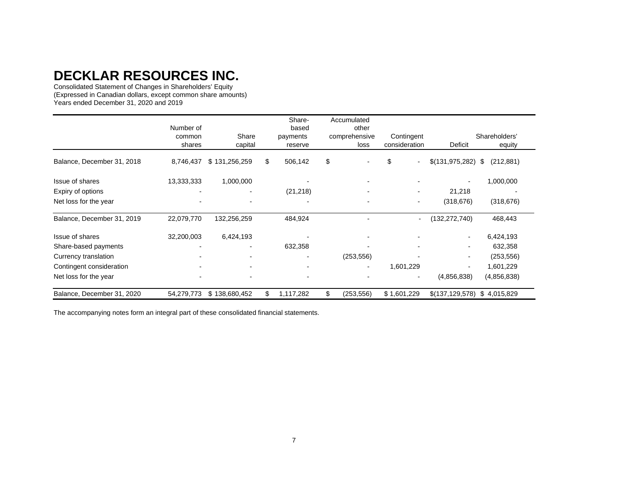Consolidated Statement of Changes in Shareholders' Equity (Expressed in Canadian dollars, except common share amounts) Years ended December 31, 2020 and 2019

|                            |            |               |    | Share-    | Accumulated              |                                |                          |                  |
|----------------------------|------------|---------------|----|-----------|--------------------------|--------------------------------|--------------------------|------------------|
|                            | Number of  |               |    | based     | other                    |                                |                          |                  |
|                            | common     | Share         |    | payments  | comprehensive            | Contingent                     |                          | Shareholders'    |
|                            | shares     | capital       |    | reserve   | loss                     | consideration                  | Deficit                  | equity           |
| Balance, December 31, 2018 | 8,746,437  | \$131,256,259 | S. | 506,142   | \$                       | \$<br>$\overline{\phantom{a}}$ | \$(131,975,282)          | \$<br>(212, 881) |
| Issue of shares            | 13,333,333 | 1,000,000     |    |           |                          |                                |                          | 1,000,000        |
| Expiry of options          |            |               |    | (21, 218) |                          |                                | 21,218                   |                  |
| Net loss for the year      |            |               |    |           |                          |                                | (318, 676)               | (318, 676)       |
| Balance, December 31, 2019 | 22,079,770 | 132,256,259   |    | 484,924   |                          | $\overline{\phantom{a}}$       | (132, 272, 740)          | 468,443          |
| Issue of shares            | 32,200,003 | 6,424,193     |    |           |                          |                                | $\blacksquare$           | 6,424,193        |
| Share-based payments       | -          |               |    | 632,358   |                          |                                | $\blacksquare$           | 632,358          |
| Currency translation       |            |               |    |           | (253, 556)               |                                | $\overline{\phantom{a}}$ | (253, 556)       |
| Contingent consideration   |            |               |    |           | $\overline{\phantom{0}}$ | 1,601,229                      | $\blacksquare$           | 1,601,229        |
| Net loss for the year      |            |               |    |           |                          | $\blacksquare$                 | (4,856,838)              | (4,856,838)      |
| Balance, December 31, 2020 | 54,279,773 | \$138,680,452 | \$ | 1,117,282 | \$<br>(253, 556)         | \$1,601,229                    | \$(137, 129, 578)        | \$4,015,829      |

The accompanying notes form an integral part of these consolidated financial statements.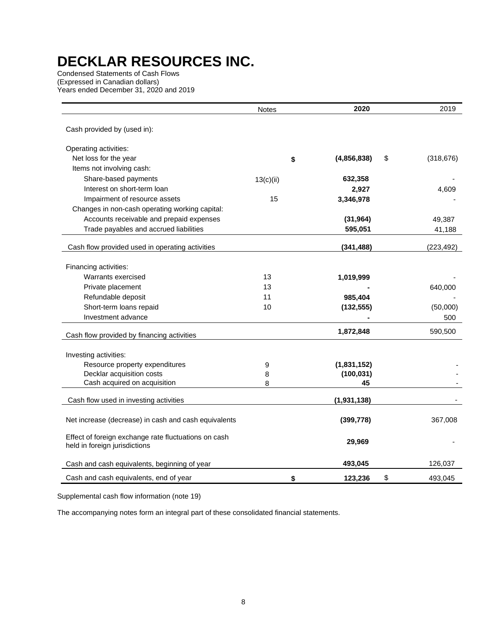Condensed Statements of Cash Flows (Expressed in Canadian dollars) Years ended December 31, 2020 and 2019

|                                                                                       | Notes     | 2020              | 2019             |
|---------------------------------------------------------------------------------------|-----------|-------------------|------------------|
| Cash provided by (used in):                                                           |           |                   |                  |
| Operating activities:                                                                 |           |                   |                  |
| Net loss for the year                                                                 |           | (4,856,838)<br>\$ | \$<br>(318, 676) |
| Items not involving cash:                                                             |           |                   |                  |
| Share-based payments                                                                  | 13(c)(ii) | 632,358           |                  |
| Interest on short-term loan                                                           |           | 2,927             | 4,609            |
| Impairment of resource assets                                                         | 15        | 3,346,978         |                  |
| Changes in non-cash operating working capital:                                        |           |                   |                  |
| Accounts receivable and prepaid expenses                                              |           | (31, 964)         | 49,387           |
| Trade payables and accrued liabilities                                                |           | 595,051           | 41,188           |
| Cash flow provided used in operating activities                                       |           | (341, 488)        | (223, 492)       |
|                                                                                       |           |                   |                  |
| Financing activities:                                                                 |           |                   |                  |
| Warrants exercised                                                                    | 13        | 1,019,999         |                  |
| Private placement                                                                     | 13        |                   | 640,000          |
| Refundable deposit                                                                    | 11        | 985,404           |                  |
| Short-term loans repaid                                                               | 10        | (132, 555)        | (50,000)         |
| Investment advance                                                                    |           |                   | 500              |
|                                                                                       |           | 1,872,848         | 590,500          |
| Cash flow provided by financing activities                                            |           |                   |                  |
| Investing activities:                                                                 |           |                   |                  |
| Resource property expenditures                                                        | 9         | (1,831,152)       |                  |
| Decklar acquisition costs                                                             | 8         | (100, 031)        |                  |
| Cash acquired on acquisition                                                          | 8         | 45                |                  |
| Cash flow used in investing activities                                                |           | (1,931,138)       |                  |
| Net increase (decrease) in cash and cash equivalents                                  |           | (399, 778)        | 367,008          |
|                                                                                       |           |                   |                  |
| Effect of foreign exchange rate fluctuations on cash<br>held in foreign jurisdictions |           | 29,969            |                  |
| Cash and cash equivalents, beginning of year                                          |           | 493,045           | 126,037          |
| Cash and cash equivalents, end of year                                                |           | \$<br>123,236     | \$<br>493,045    |

Supplemental cash flow information (note 19)

The accompanying notes form an integral part of these consolidated financial statements.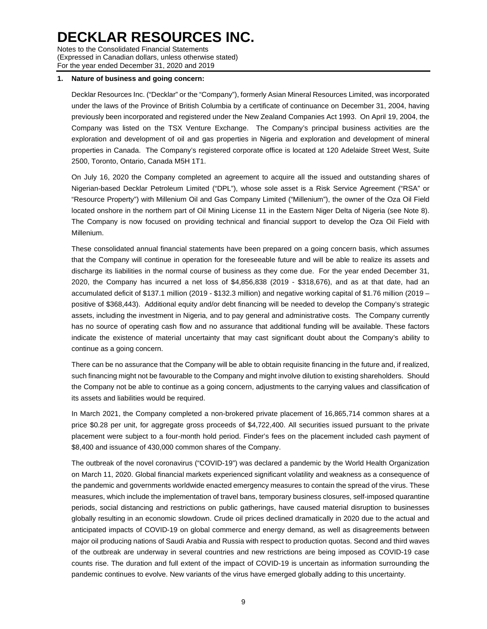Notes to the Consolidated Financial Statements (Expressed in Canadian dollars, unless otherwise stated) For the year ended December 31, 2020 and 2019

#### **1. Nature of business and going concern:**

Decklar Resources Inc. ("Decklar" or the "Company"), formerly Asian Mineral Resources Limited, was incorporated under the laws of the Province of British Columbia by a certificate of continuance on December 31, 2004, having previously been incorporated and registered under the New Zealand Companies Act 1993. On April 19, 2004, the Company was listed on the TSX Venture Exchange. The Company's principal business activities are the exploration and development of oil and gas properties in Nigeria and exploration and development of mineral properties in Canada. The Company's registered corporate office is located at 120 Adelaide Street West, Suite 2500, Toronto, Ontario, Canada M5H 1T1.

On July 16, 2020 the Company completed an agreement to acquire all the issued and outstanding shares of Nigerian-based Decklar Petroleum Limited ("DPL"), whose sole asset is a Risk Service Agreement ("RSA" or "Resource Property") with Millenium Oil and Gas Company Limited ("Millenium"), the owner of the Oza Oil Field located onshore in the northern part of Oil Mining License 11 in the Eastern Niger Delta of Nigeria (see Note 8). The Company is now focused on providing technical and financial support to develop the Oza Oil Field with Millenium.

These consolidated annual financial statements have been prepared on a going concern basis, which assumes that the Company will continue in operation for the foreseeable future and will be able to realize its assets and discharge its liabilities in the normal course of business as they come due. For the year ended December 31, 2020, the Company has incurred a net loss of \$4,856,838 (2019 - \$318,676), and as at that date, had an accumulated deficit of \$137.1 million (2019 - \$132.3 million) and negative working capital of \$1.76 million (2019 – positive of \$368,443). Additional equity and/or debt financing will be needed to develop the Company's strategic assets, including the investment in Nigeria, and to pay general and administrative costs. The Company currently has no source of operating cash flow and no assurance that additional funding will be available. These factors indicate the existence of material uncertainty that may cast significant doubt about the Company's ability to continue as a going concern.

There can be no assurance that the Company will be able to obtain requisite financing in the future and, if realized, such financing might not be favourable to the Company and might involve dilution to existing shareholders. Should the Company not be able to continue as a going concern, adjustments to the carrying values and classification of its assets and liabilities would be required.

In March 2021, the Company completed a non-brokered private placement of 16,865,714 common shares at a price \$0.28 per unit, for aggregate gross proceeds of \$4,722,400. All securities issued pursuant to the private placement were subject to a four-month hold period. Finder's fees on the placement included cash payment of \$8,400 and issuance of 430,000 common shares of the Company.

The outbreak of the novel coronavirus ("COVID-19") was declared a pandemic by the World Health Organization on March 11, 2020. Global financial markets experienced significant volatility and weakness as a consequence of the pandemic and governments worldwide enacted emergency measures to contain the spread of the virus. These measures, which include the implementation of travel bans, temporary business closures, self-imposed quarantine periods, social distancing and restrictions on public gatherings, have caused material disruption to businesses globally resulting in an economic slowdown. Crude oil prices declined dramatically in 2020 due to the actual and anticipated impacts of COVID-19 on global commerce and energy demand, as well as disagreements between major oil producing nations of Saudi Arabia and Russia with respect to production quotas. Second and third waves of the outbreak are underway in several countries and new restrictions are being imposed as COVID-19 case counts rise. The duration and full extent of the impact of COVID-19 is uncertain as information surrounding the pandemic continues to evolve. New variants of the virus have emerged globally adding to this uncertainty.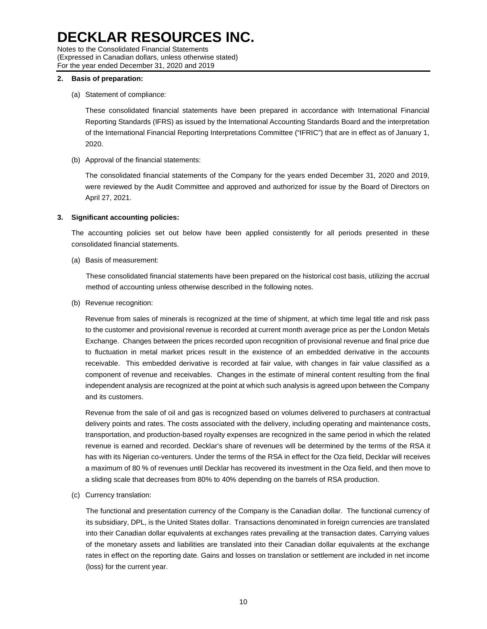Notes to the Consolidated Financial Statements (Expressed in Canadian dollars, unless otherwise stated) For the year ended December 31, 2020 and 2019

#### **2. Basis of preparation:**

(a) Statement of compliance:

These consolidated financial statements have been prepared in accordance with International Financial Reporting Standards (IFRS) as issued by the International Accounting Standards Board and the interpretation of the International Financial Reporting Interpretations Committee ("IFRIC") that are in effect as of January 1, 2020.

(b) Approval of the financial statements:

The consolidated financial statements of the Company for the years ended December 31, 2020 and 2019, were reviewed by the Audit Committee and approved and authorized for issue by the Board of Directors on April 27, 2021.

#### **3. Significant accounting policies:**

The accounting policies set out below have been applied consistently for all periods presented in these consolidated financial statements.

(a) Basis of measurement:

These consolidated financial statements have been prepared on the historical cost basis, utilizing the accrual method of accounting unless otherwise described in the following notes.

(b) Revenue recognition:

Revenue from sales of minerals is recognized at the time of shipment, at which time legal title and risk pass to the customer and provisional revenue is recorded at current month average price as per the London Metals Exchange. Changes between the prices recorded upon recognition of provisional revenue and final price due to fluctuation in metal market prices result in the existence of an embedded derivative in the accounts receivable. This embedded derivative is recorded at fair value, with changes in fair value classified as a component of revenue and receivables. Changes in the estimate of mineral content resulting from the final independent analysis are recognized at the point at which such analysis is agreed upon between the Company and its customers.

Revenue from the sale of oil and gas is recognized based on volumes delivered to purchasers at contractual delivery points and rates. The costs associated with the delivery, including operating and maintenance costs, transportation, and production-based royalty expenses are recognized in the same period in which the related revenue is earned and recorded. Decklar's share of revenues will be determined by the terms of the RSA it has with its Nigerian co-venturers. Under the terms of the RSA in effect for the Oza field, Decklar will receives a maximum of 80 % of revenues until Decklar has recovered its investment in the Oza field, and then move to a sliding scale that decreases from 80% to 40% depending on the barrels of RSA production.

(c) Currency translation:

The functional and presentation currency of the Company is the Canadian dollar. The functional currency of its subsidiary, DPL, is the United States dollar. Transactions denominated in foreign currencies are translated into their Canadian dollar equivalents at exchanges rates prevailing at the transaction dates. Carrying values of the monetary assets and liabilities are translated into their Canadian dollar equivalents at the exchange rates in effect on the reporting date. Gains and losses on translation or settlement are included in net income (loss) for the current year.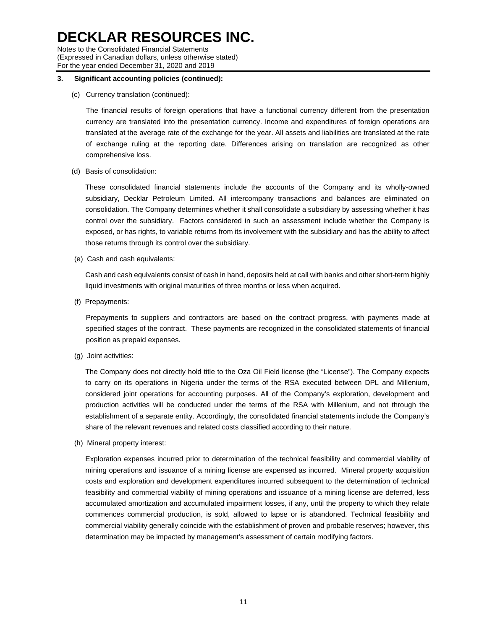Notes to the Consolidated Financial Statements (Expressed in Canadian dollars, unless otherwise stated) For the year ended December 31, 2020 and 2019

#### **3. Significant accounting policies (continued):**

(c) Currency translation (continued):

The financial results of foreign operations that have a functional currency different from the presentation currency are translated into the presentation currency. Income and expenditures of foreign operations are translated at the average rate of the exchange for the year. All assets and liabilities are translated at the rate of exchange ruling at the reporting date. Differences arising on translation are recognized as other comprehensive loss.

(d) Basis of consolidation:

These consolidated financial statements include the accounts of the Company and its wholly-owned subsidiary, Decklar Petroleum Limited. All intercompany transactions and balances are eliminated on consolidation. The Company determines whether it shall consolidate a subsidiary by assessing whether it has control over the subsidiary. Factors considered in such an assessment include whether the Company is exposed, or has rights, to variable returns from its involvement with the subsidiary and has the ability to affect those returns through its control over the subsidiary.

(e) Cash and cash equivalents:

Cash and cash equivalents consist of cash in hand, deposits held at call with banks and other short-term highly liquid investments with original maturities of three months or less when acquired.

(f) Prepayments:

Prepayments to suppliers and contractors are based on the contract progress, with payments made at specified stages of the contract. These payments are recognized in the consolidated statements of financial position as prepaid expenses.

(g) Joint activities:

The Company does not directly hold title to the Oza Oil Field license (the "License"). The Company expects to carry on its operations in Nigeria under the terms of the RSA executed between DPL and Millenium, considered joint operations for accounting purposes. All of the Company's exploration, development and production activities will be conducted under the terms of the RSA with Millenium, and not through the establishment of a separate entity. Accordingly, the consolidated financial statements include the Company's share of the relevant revenues and related costs classified according to their nature.

(h) Mineral property interest:

Exploration expenses incurred prior to determination of the technical feasibility and commercial viability of mining operations and issuance of a mining license are expensed as incurred. Mineral property acquisition costs and exploration and development expenditures incurred subsequent to the determination of technical feasibility and commercial viability of mining operations and issuance of a mining license are deferred, less accumulated amortization and accumulated impairment losses, if any, until the property to which they relate commences commercial production, is sold, allowed to lapse or is abandoned. Technical feasibility and commercial viability generally coincide with the establishment of proven and probable reserves; however, this determination may be impacted by management's assessment of certain modifying factors.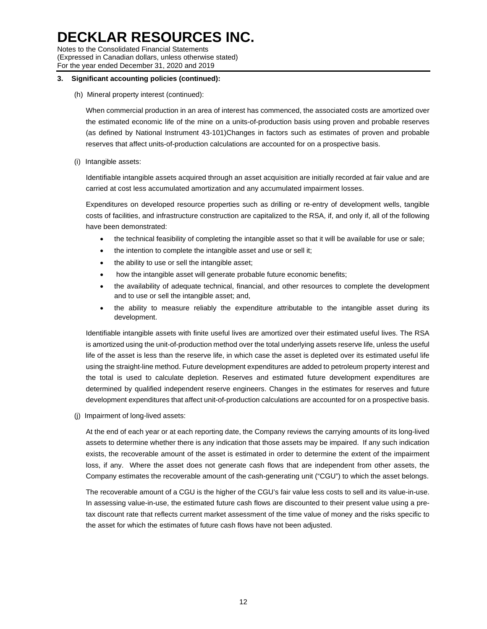Notes to the Consolidated Financial Statements (Expressed in Canadian dollars, unless otherwise stated) For the year ended December 31, 2020 and 2019

#### **3. Significant accounting policies (continued):**

(h) Mineral property interest (continued):

When commercial production in an area of interest has commenced, the associated costs are amortized over the estimated economic life of the mine on a units-of-production basis using proven and probable reserves (as defined by National Instrument 43-101)Changes in factors such as estimates of proven and probable reserves that affect units-of-production calculations are accounted for on a prospective basis.

(i) Intangible assets:

Identifiable intangible assets acquired through an asset acquisition are initially recorded at fair value and are carried at cost less accumulated amortization and any accumulated impairment losses.

Expenditures on developed resource properties such as drilling or re-entry of development wells, tangible costs of facilities, and infrastructure construction are capitalized to the RSA, if, and only if, all of the following have been demonstrated:

- the technical feasibility of completing the intangible asset so that it will be available for use or sale;
- the intention to complete the intangible asset and use or sell it;
- the ability to use or sell the intangible asset;
- how the intangible asset will generate probable future economic benefits;
- the availability of adequate technical, financial, and other resources to complete the development and to use or sell the intangible asset; and,
- the ability to measure reliably the expenditure attributable to the intangible asset during its development.

Identifiable intangible assets with finite useful lives are amortized over their estimated useful lives. The RSA is amortized using the unit-of-production method over the total underlying assets reserve life, unless the useful life of the asset is less than the reserve life, in which case the asset is depleted over its estimated useful life using the straight-line method. Future development expenditures are added to petroleum property interest and the total is used to calculate depletion. Reserves and estimated future development expenditures are determined by qualified independent reserve engineers. Changes in the estimates for reserves and future development expenditures that affect unit-of-production calculations are accounted for on a prospective basis.

(j) Impairment of long-lived assets:

At the end of each year or at each reporting date, the Company reviews the carrying amounts of its long-lived assets to determine whether there is any indication that those assets may be impaired. If any such indication exists, the recoverable amount of the asset is estimated in order to determine the extent of the impairment loss, if any. Where the asset does not generate cash flows that are independent from other assets, the Company estimates the recoverable amount of the cash-generating unit ("CGU") to which the asset belongs.

The recoverable amount of a CGU is the higher of the CGU's fair value less costs to sell and its value-in-use. In assessing value-in-use, the estimated future cash flows are discounted to their present value using a pretax discount rate that reflects current market assessment of the time value of money and the risks specific to the asset for which the estimates of future cash flows have not been adjusted.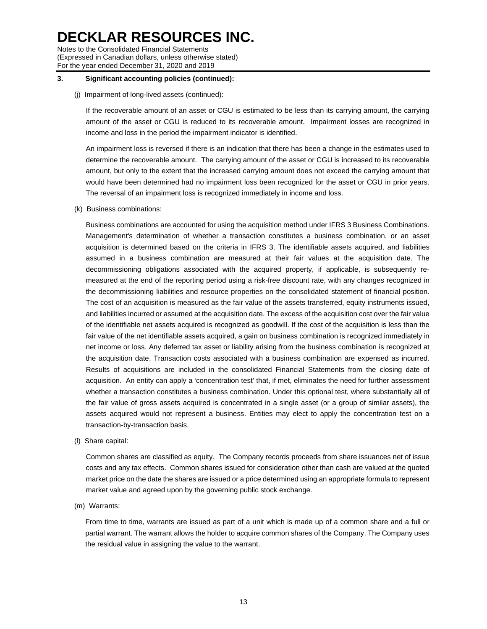Notes to the Consolidated Financial Statements (Expressed in Canadian dollars, unless otherwise stated) For the year ended December 31, 2020 and 2019

### **3. Significant accounting policies (continued):**

#### (j) Impairment of long-lived assets (continued):

If the recoverable amount of an asset or CGU is estimated to be less than its carrying amount, the carrying amount of the asset or CGU is reduced to its recoverable amount. Impairment losses are recognized in income and loss in the period the impairment indicator is identified.

An impairment loss is reversed if there is an indication that there has been a change in the estimates used to determine the recoverable amount. The carrying amount of the asset or CGU is increased to its recoverable amount, but only to the extent that the increased carrying amount does not exceed the carrying amount that would have been determined had no impairment loss been recognized for the asset or CGU in prior years. The reversal of an impairment loss is recognized immediately in income and loss.

(k) Business combinations:

Business combinations are accounted for using the acquisition method under IFRS 3 Business Combinations. Management's determination of whether a transaction constitutes a business combination, or an asset acquisition is determined based on the criteria in IFRS 3. The identifiable assets acquired, and liabilities assumed in a business combination are measured at their fair values at the acquisition date. The decommissioning obligations associated with the acquired property, if applicable, is subsequently remeasured at the end of the reporting period using a risk-free discount rate, with any changes recognized in the decommissioning liabilities and resource properties on the consolidated statement of financial position. The cost of an acquisition is measured as the fair value of the assets transferred, equity instruments issued, and liabilities incurred or assumed at the acquisition date. The excess of the acquisition cost over the fair value of the identifiable net assets acquired is recognized as goodwill. If the cost of the acquisition is less than the fair value of the net identifiable assets acquired, a gain on business combination is recognized immediately in net income or loss. Any deferred tax asset or liability arising from the business combination is recognized at the acquisition date. Transaction costs associated with a business combination are expensed as incurred. Results of acquisitions are included in the consolidated Financial Statements from the closing date of acquisition. An entity can apply a 'concentration test' that, if met, eliminates the need for further assessment whether a transaction constitutes a business combination. Under this optional test, where substantially all of the fair value of gross assets acquired is concentrated in a single asset (or a group of similar assets), the assets acquired would not represent a business. Entities may elect to apply the concentration test on a transaction-by-transaction basis.

(l) Share capital:

Common shares are classified as equity. The Company records proceeds from share issuances net of issue costs and any tax effects. Common shares issued for consideration other than cash are valued at the quoted market price on the date the shares are issued or a price determined using an appropriate formula to represent market value and agreed upon by the governing public stock exchange.

(m) Warrants:

From time to time, warrants are issued as part of a unit which is made up of a common share and a full or partial warrant. The warrant allows the holder to acquire common shares of the Company. The Company uses the residual value in assigning the value to the warrant.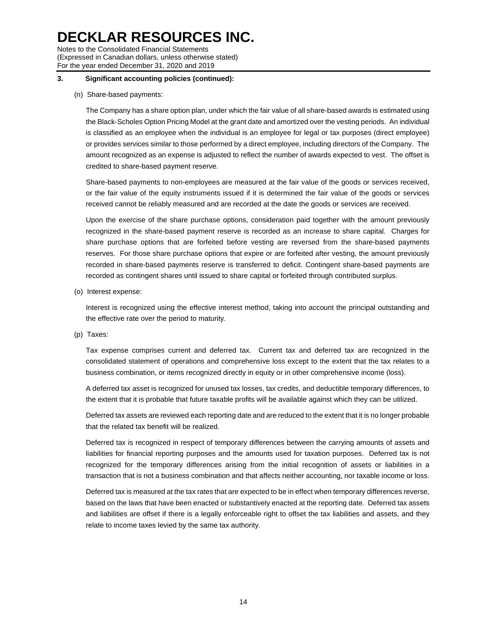Notes to the Consolidated Financial Statements (Expressed in Canadian dollars, unless otherwise stated) For the year ended December 31, 2020 and 2019

#### **3. Significant accounting policies (continued):**

#### (n) Share-based payments:

The Company has a share option plan, under which the fair value of all share-based awards is estimated using the Black-Scholes Option Pricing Model at the grant date and amortized over the vesting periods. An individual is classified as an employee when the individual is an employee for legal or tax purposes (direct employee) or provides services similar to those performed by a direct employee, including directors of the Company. The amount recognized as an expense is adjusted to reflect the number of awards expected to vest. The offset is credited to share-based payment reserve.

Share-based payments to non-employees are measured at the fair value of the goods or services received, or the fair value of the equity instruments issued if it is determined the fair value of the goods or services received cannot be reliably measured and are recorded at the date the goods or services are received.

Upon the exercise of the share purchase options, consideration paid together with the amount previously recognized in the share-based payment reserve is recorded as an increase to share capital. Charges for share purchase options that are forfeited before vesting are reversed from the share-based payments reserves. For those share purchase options that expire or are forfeited after vesting, the amount previously recorded in share-based payments reserve is transferred to deficit. Contingent share-based payments are recorded as contingent shares until issued to share capital or forfeited through contributed surplus.

(o) Interest expense:

Interest is recognized using the effective interest method, taking into account the principal outstanding and the effective rate over the period to maturity.

(p) Taxes:

Tax expense comprises current and deferred tax. Current tax and deferred tax are recognized in the consolidated statement of operations and comprehensive loss except to the extent that the tax relates to a business combination, or items recognized directly in equity or in other comprehensive income (loss).

A deferred tax asset is recognized for unused tax losses, tax credits, and deductible temporary differences, to the extent that it is probable that future taxable profits will be available against which they can be utilized.

Deferred tax assets are reviewed each reporting date and are reduced to the extent that it is no longer probable that the related tax benefit will be realized.

Deferred tax is recognized in respect of temporary differences between the carrying amounts of assets and liabilities for financial reporting purposes and the amounts used for taxation purposes. Deferred tax is not recognized for the temporary differences arising from the initial recognition of assets or liabilities in a transaction that is not a business combination and that affects neither accounting, nor taxable income or loss.

Deferred tax is measured at the tax rates that are expected to be in effect when temporary differences reverse, based on the laws that have been enacted or substantively enacted at the reporting date. Deferred tax assets and liabilities are offset if there is a legally enforceable right to offset the tax liabilities and assets, and they relate to income taxes levied by the same tax authority.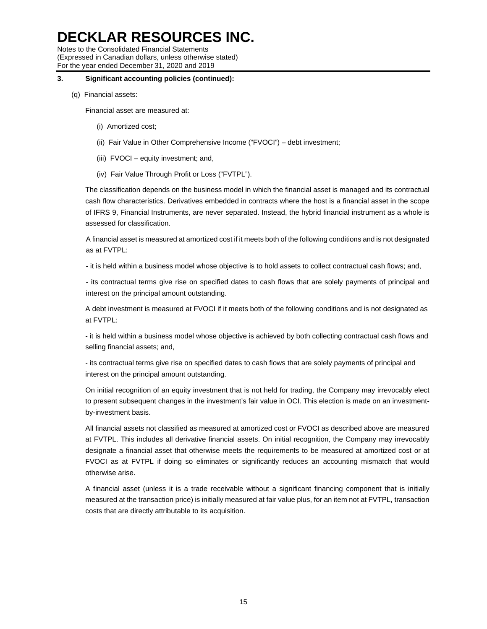Notes to the Consolidated Financial Statements (Expressed in Canadian dollars, unless otherwise stated) For the year ended December 31, 2020 and 2019

### **3. Significant accounting policies (continued):**

(q) Financial assets:

Financial asset are measured at:

- (i) Amortized cost;
- (ii) Fair Value in Other Comprehensive Income ("FVOCI") debt investment;
- (iii) FVOCI equity investment; and,
- (iv) Fair Value Through Profit or Loss ("FVTPL").

The classification depends on the business model in which the financial asset is managed and its contractual cash flow characteristics. Derivatives embedded in contracts where the host is a financial asset in the scope of IFRS 9, Financial Instruments, are never separated. Instead, the hybrid financial instrument as a whole is assessed for classification.

A financial asset is measured at amortized cost if it meets both of the following conditions and is not designated as at FVTPL:

- it is held within a business model whose objective is to hold assets to collect contractual cash flows; and,

- its contractual terms give rise on specified dates to cash flows that are solely payments of principal and interest on the principal amount outstanding.

A debt investment is measured at FVOCI if it meets both of the following conditions and is not designated as at FVTPL:

- it is held within a business model whose objective is achieved by both collecting contractual cash flows and selling financial assets; and,

- its contractual terms give rise on specified dates to cash flows that are solely payments of principal and interest on the principal amount outstanding.

On initial recognition of an equity investment that is not held for trading, the Company may irrevocably elect to present subsequent changes in the investment's fair value in OCI. This election is made on an investmentby-investment basis.

All financial assets not classified as measured at amortized cost or FVOCI as described above are measured at FVTPL. This includes all derivative financial assets. On initial recognition, the Company may irrevocably designate a financial asset that otherwise meets the requirements to be measured at amortized cost or at FVOCI as at FVTPL if doing so eliminates or significantly reduces an accounting mismatch that would otherwise arise.

A financial asset (unless it is a trade receivable without a significant financing component that is initially measured at the transaction price) is initially measured at fair value plus, for an item not at FVTPL, transaction costs that are directly attributable to its acquisition.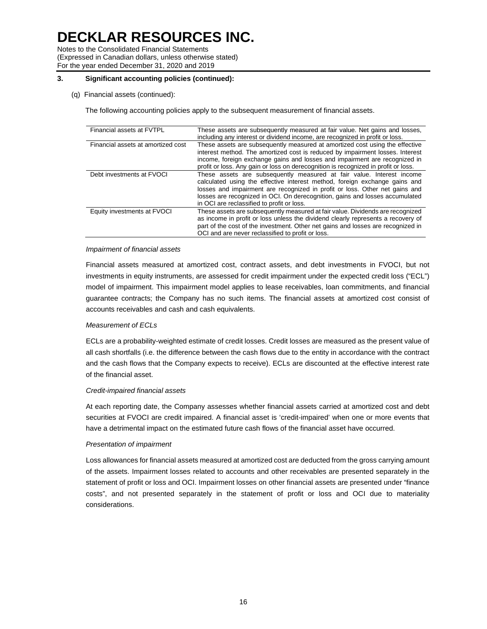Notes to the Consolidated Financial Statements (Expressed in Canadian dollars, unless otherwise stated) For the year ended December 31, 2020 and 2019

#### **3. Significant accounting policies (continued):**

#### (q) Financial assets (continued):

The following accounting policies apply to the subsequent measurement of financial assets.

| Financial assets at FVTPL          | These assets are subsequently measured at fair value. Net gains and losses,<br>including any interest or dividend income, are recognized in profit or loss.                                                                                                                                                                                                      |
|------------------------------------|------------------------------------------------------------------------------------------------------------------------------------------------------------------------------------------------------------------------------------------------------------------------------------------------------------------------------------------------------------------|
| Financial assets at amortized cost | These assets are subsequently measured at amortized cost using the effective<br>interest method. The amortized cost is reduced by impairment losses. Interest<br>income, foreign exchange gains and losses and impairment are recognized in<br>profit or loss. Any gain or loss on derecognition is recognized in profit or loss.                                |
| Debt investments at FVOCI          | These assets are subsequently measured at fair value. Interest income<br>calculated using the effective interest method, foreign exchange gains and<br>losses and impairment are recognized in profit or loss. Other net gains and<br>losses are recognized in OCI. On derecognition, gains and losses accumulated<br>in OCI are reclassified to profit or loss. |
| Equity investments at FVOCI        | These assets are subsequently measured at fair value. Dividends are recognized<br>as income in profit or loss unless the dividend clearly represents a recovery of<br>part of the cost of the investment. Other net gains and losses are recognized in<br>OCI and are never reclassified to profit or loss.                                                      |

#### *Impairment of financial assets*

Financial assets measured at amortized cost, contract assets, and debt investments in FVOCI, but not investments in equity instruments, are assessed for credit impairment under the expected credit loss ("ECL") model of impairment. This impairment model applies to lease receivables, loan commitments, and financial guarantee contracts; the Company has no such items. The financial assets at amortized cost consist of accounts receivables and cash and cash equivalents.

### *Measurement of ECLs*

ECLs are a probability-weighted estimate of credit losses. Credit losses are measured as the present value of all cash shortfalls (i.e. the difference between the cash flows due to the entity in accordance with the contract and the cash flows that the Company expects to receive). ECLs are discounted at the effective interest rate of the financial asset.

#### *Credit-impaired financial assets*

At each reporting date, the Company assesses whether financial assets carried at amortized cost and debt securities at FVOCI are credit impaired. A financial asset is 'credit-impaired' when one or more events that have a detrimental impact on the estimated future cash flows of the financial asset have occurred.

### *Presentation of impairment*

Loss allowances for financial assets measured at amortized cost are deducted from the gross carrying amount of the assets. Impairment losses related to accounts and other receivables are presented separately in the statement of profit or loss and OCI. Impairment losses on other financial assets are presented under "finance costs", and not presented separately in the statement of profit or loss and OCI due to materiality considerations.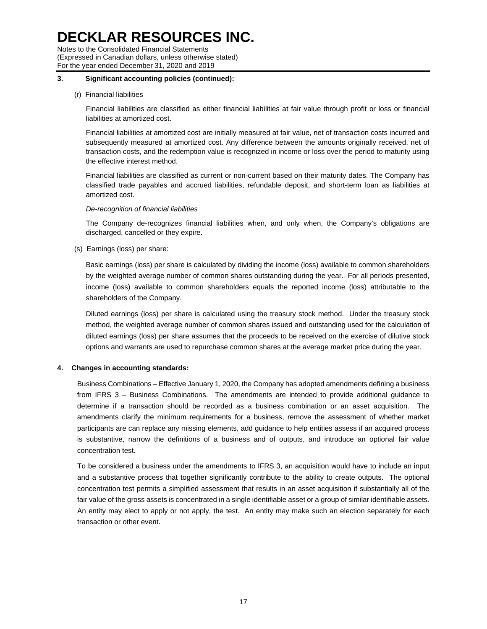Notes to the Consolidated Financial Statements (Expressed in Canadian dollars, unless otherwise stated) For the year ended December 31, 2020 and 2019

#### **3. Significant accounting policies (continued):**

#### (r) Financial liabilities

Financial liabilities are classified as either financial liabilities at fair value through profit or loss or financial liabilities at amortized cost.

Financial liabilities at amortized cost are initially measured at fair value, net of transaction costs incurred and subsequently measured at amortized cost. Any difference between the amounts originally received, net of transaction costs, and the redemption value is recognized in income or loss over the period to maturity using the effective interest method.

Financial liabilities are classified as current or non-current based on their maturity dates. The Company has classified trade payables and accrued liabilities, refundable deposit, and short-term loan as liabilities at amortized cost.

#### *De-recognition of financial liabilities*

The Company de-recognizes financial liabilities when, and only when, the Company's obligations are discharged, cancelled or they expire.

(s) Earnings (loss) per share:

Basic earnings (loss) per share is calculated by dividing the income (loss) available to common shareholders by the weighted average number of common shares outstanding during the year. For all periods presented, income (loss) available to common shareholders equals the reported income (loss) attributable to the shareholders of the Company.

Diluted earnings (loss) per share is calculated using the treasury stock method. Under the treasury stock method, the weighted average number of common shares issued and outstanding used for the calculation of diluted earnings (loss) per share assumes that the proceeds to be received on the exercise of dilutive stock options and warrants are used to repurchase common shares at the average market price during the year.

#### **4. Changes in accounting standards:**

Business Combinations – Effective January 1, 2020, the Company has adopted amendments defining a business from IFRS 3 – Business Combinations. The amendments are intended to provide additional guidance to determine if a transaction should be recorded as a business combination or an asset acquisition. The amendments clarify the minimum requirements for a business, remove the assessment of whether market participants are can replace any missing elements, add guidance to help entities assess if an acquired process is substantive, narrow the definitions of a business and of outputs, and introduce an optional fair value concentration test.

To be considered a business under the amendments to IFRS 3, an acquisition would have to include an input and a substantive process that together significantly contribute to the ability to create outputs. The optional concentration test permits a simplified assessment that results in an asset acquisition if substantially all of the fair value of the gross assets is concentrated in a single identifiable asset or a group of similar identifiable assets. An entity may elect to apply or not apply, the test. An entity may make such an election separately for each transaction or other event.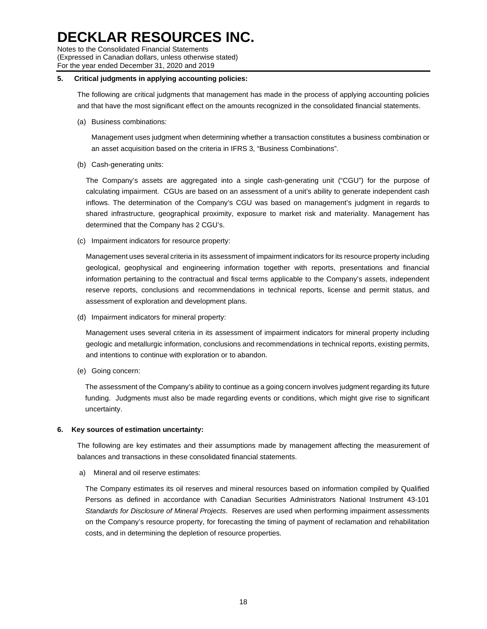Notes to the Consolidated Financial Statements (Expressed in Canadian dollars, unless otherwise stated) For the year ended December 31, 2020 and 2019

#### **5. Critical judgments in applying accounting policies:**

The following are critical judgments that management has made in the process of applying accounting policies and that have the most significant effect on the amounts recognized in the consolidated financial statements.

(a) Business combinations:

Management uses judgment when determining whether a transaction constitutes a business combination or an asset acquisition based on the criteria in IFRS 3, "Business Combinations".

(b) Cash-generating units:

The Company's assets are aggregated into a single cash-generating unit ("CGU") for the purpose of calculating impairment. CGUs are based on an assessment of a unit's ability to generate independent cash inflows. The determination of the Company's CGU was based on management's judgment in regards to shared infrastructure, geographical proximity, exposure to market risk and materiality. Management has determined that the Company has 2 CGU's.

(c) Impairment indicators for resource property:

Management uses several criteria in its assessment of impairment indicators for its resource property including geological, geophysical and engineering information together with reports, presentations and financial information pertaining to the contractual and fiscal terms applicable to the Company's assets, independent reserve reports, conclusions and recommendations in technical reports, license and permit status, and assessment of exploration and development plans.

(d) Impairment indicators for mineral property:

Management uses several criteria in its assessment of impairment indicators for mineral property including geologic and metallurgic information, conclusions and recommendations in technical reports, existing permits, and intentions to continue with exploration or to abandon.

(e) Going concern:

The assessment of the Company's ability to continue as a going concern involves judgment regarding its future funding. Judgments must also be made regarding events or conditions, which might give rise to significant uncertainty.

#### **6. Key sources of estimation uncertainty:**

The following are key estimates and their assumptions made by management affecting the measurement of balances and transactions in these consolidated financial statements.

a) Mineral and oil reserve estimates:

The Company estimates its oil reserves and mineral resources based on information compiled by Qualified Persons as defined in accordance with Canadian Securities Administrators National Instrument 43-101 *Standards for Disclosure of Mineral Projects*. Reserves are used when performing impairment assessments on the Company's resource property, for forecasting the timing of payment of reclamation and rehabilitation costs, and in determining the depletion of resource properties.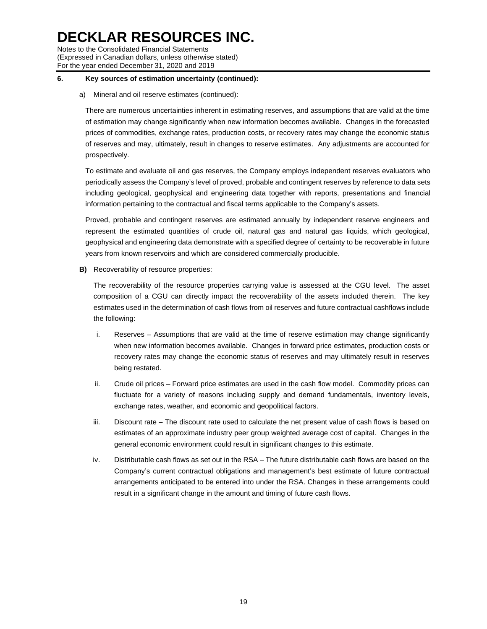Notes to the Consolidated Financial Statements (Expressed in Canadian dollars, unless otherwise stated) For the year ended December 31, 2020 and 2019

#### **6. Key sources of estimation uncertainty (continued):**

a) Mineral and oil reserve estimates (continued):

There are numerous uncertainties inherent in estimating reserves, and assumptions that are valid at the time of estimation may change significantly when new information becomes available. Changes in the forecasted prices of commodities, exchange rates, production costs, or recovery rates may change the economic status of reserves and may, ultimately, result in changes to reserve estimates. Any adjustments are accounted for prospectively.

To estimate and evaluate oil and gas reserves, the Company employs independent reserves evaluators who periodically assess the Company's level of proved, probable and contingent reserves by reference to data sets including geological, geophysical and engineering data together with reports, presentations and financial information pertaining to the contractual and fiscal terms applicable to the Company's assets.

Proved, probable and contingent reserves are estimated annually by independent reserve engineers and represent the estimated quantities of crude oil, natural gas and natural gas liquids, which geological, geophysical and engineering data demonstrate with a specified degree of certainty to be recoverable in future years from known reservoirs and which are considered commercially producible.

**B)** Recoverability of resource properties:

The recoverability of the resource properties carrying value is assessed at the CGU level. The asset composition of a CGU can directly impact the recoverability of the assets included therein. The key estimates used in the determination of cash flows from oil reserves and future contractual cashflows include the following:

- i. Reserves Assumptions that are valid at the time of reserve estimation may change significantly when new information becomes available. Changes in forward price estimates, production costs or recovery rates may change the economic status of reserves and may ultimately result in reserves being restated.
- ii. Crude oil prices Forward price estimates are used in the cash flow model. Commodity prices can fluctuate for a variety of reasons including supply and demand fundamentals, inventory levels, exchange rates, weather, and economic and geopolitical factors.
- iii. Discount rate The discount rate used to calculate the net present value of cash flows is based on estimates of an approximate industry peer group weighted average cost of capital. Changes in the general economic environment could result in significant changes to this estimate.
- iv. Distributable cash flows as set out in the RSA The future distributable cash flows are based on the Company's current contractual obligations and management's best estimate of future contractual arrangements anticipated to be entered into under the RSA. Changes in these arrangements could result in a significant change in the amount and timing of future cash flows.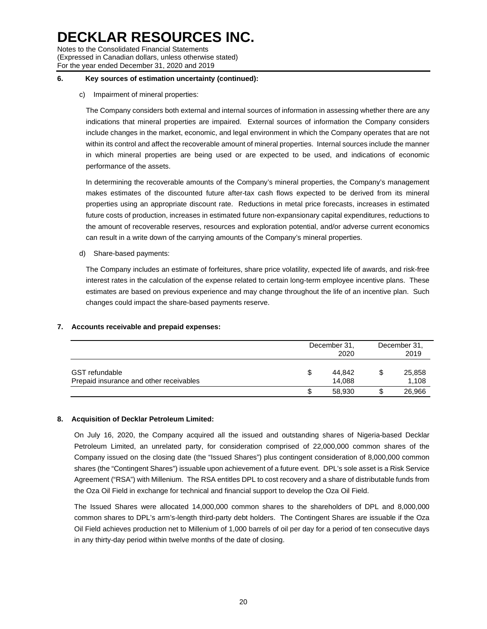Notes to the Consolidated Financial Statements (Expressed in Canadian dollars, unless otherwise stated) For the year ended December 31, 2020 and 2019

#### **6. Key sources of estimation uncertainty (continued):**

#### c) Impairment of mineral properties:

The Company considers both external and internal sources of information in assessing whether there are any indications that mineral properties are impaired. External sources of information the Company considers include changes in the market, economic, and legal environment in which the Company operates that are not within its control and affect the recoverable amount of mineral properties. Internal sources include the manner in which mineral properties are being used or are expected to be used, and indications of economic performance of the assets.

In determining the recoverable amounts of the Company's mineral properties, the Company's management makes estimates of the discounted future after-tax cash flows expected to be derived from its mineral properties using an appropriate discount rate. Reductions in metal price forecasts, increases in estimated future costs of production, increases in estimated future non-expansionary capital expenditures, reductions to the amount of recoverable reserves, resources and exploration potential, and/or adverse current economics can result in a write down of the carrying amounts of the Company's mineral properties.

d) Share-based payments:

The Company includes an estimate of forfeitures, share price volatility, expected life of awards, and risk-free interest rates in the calculation of the expense related to certain long-term employee incentive plans. These estimates are based on previous experience and may change throughout the life of an incentive plan. Such changes could impact the share-based payments reserve.

### **7. Accounts receivable and prepaid expenses:**

|                                         | December 31, |        | December 31, |        |  |
|-----------------------------------------|--------------|--------|--------------|--------|--|
|                                         |              | 2020   |              | 2019   |  |
| <b>GST</b> refundable                   | \$           | 44.842 | S            | 25,858 |  |
| Prepaid insurance and other receivables |              | 14.088 |              | 1,108  |  |
|                                         | S            | 58,930 |              | 26,966 |  |

### **8. Acquisition of Decklar Petroleum Limited:**

On July 16, 2020, the Company acquired all the issued and outstanding shares of Nigeria-based Decklar Petroleum Limited, an unrelated party, for consideration comprised of 22,000,000 common shares of the Company issued on the closing date (the "Issued Shares") plus contingent consideration of 8,000,000 common shares (the "Contingent Shares") issuable upon achievement of a future event. DPL's sole asset is a Risk Service Agreement ("RSA") with Millenium. The RSA entitles DPL to cost recovery and a share of distributable funds from the Oza Oil Field in exchange for technical and financial support to develop the Oza Oil Field.

The Issued Shares were allocated 14,000,000 common shares to the shareholders of DPL and 8,000,000 common shares to DPL's arm's-length third-party debt holders. The Contingent Shares are issuable if the Oza Oil Field achieves production net to Millenium of 1,000 barrels of oil per day for a period of ten consecutive days in any thirty-day period within twelve months of the date of closing.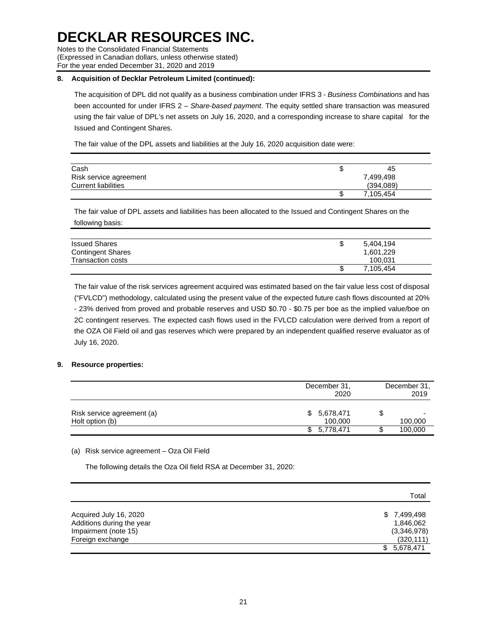Notes to the Consolidated Financial Statements (Expressed in Canadian dollars, unless otherwise stated) For the year ended December 31, 2020 and 2019

#### **8. Acquisition of Decklar Petroleum Limited (continued):**

The acquisition of DPL did not qualify as a business combination under IFRS 3 - *Business Combinations* and has been accounted for under IFRS 2 – *Share-based payment*. The equity settled share transaction was measured using the fair value of DPL's net assets on July 16, 2020, and a corresponding increase to share capital for the Issued and Contingent Shares.

The fair value of the DPL assets and liabilities at the July 16, 2020 acquisition date were:

| Cash                       | J | 45        |
|----------------------------|---|-----------|
| Risk service agreement     |   | 7,499,498 |
| <b>Current liabilities</b> |   | (394,089) |
|                            | S | 7,105,454 |

The fair value of DPL assets and liabilities has been allocated to the Issued and Contingent Shares on the following basis:

| <b>Issued Shares</b>     | \$<br>5.404.194 |
|--------------------------|-----------------|
| <b>Contingent Shares</b> | 1,601,229       |
| <b>Transaction costs</b> | 100.031         |
|                          | \$<br>7,105,454 |

The fair value of the risk services agreement acquired was estimated based on the fair value less cost of disposal ("FVLCD") methodology, calculated using the present value of the expected future cash flows discounted at 20% - 23% derived from proved and probable reserves and USD \$0.70 - \$0.75 per boe as the implied value/boe on 2C contingent reserves. The expected cash flows used in the FVLCD calculation were derived from a report of the OZA Oil Field oil and gas reserves which were prepared by an independent qualified reserve evaluator as of July 16, 2020.

#### **9. Resource properties:**

|                            | December 31,<br>2020 |    |         |  |  |
|----------------------------|----------------------|----|---------|--|--|
| Risk service agreement (a) | \$ 5,678,471         | \$ | -       |  |  |
| Holt option (b)            | 100,000              |    | 100,000 |  |  |
|                            | \$ 5,778,471         |    | 100,000 |  |  |

#### (a) Risk service agreement – Oza Oil Field

The following details the Oza Oil field RSA at December 31, 2020:

|                           | Total       |
|---------------------------|-------------|
| Acquired July 16, 2020    | \$7,499,498 |
| Additions during the year | 1,846,062   |
| Impairment (note 15)      | (3,346,978) |
| Foreign exchange          | (320, 111)  |
|                           | \$5,678,471 |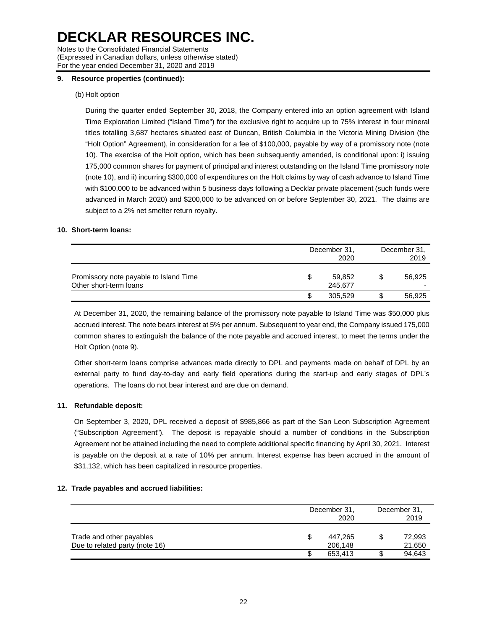Notes to the Consolidated Financial Statements (Expressed in Canadian dollars, unless otherwise stated) For the year ended December 31, 2020 and 2019

### **9. Resource properties (continued):**

#### (b) Holt option

During the quarter ended September 30, 2018, the Company entered into an option agreement with Island Time Exploration Limited ("Island Time") for the exclusive right to acquire up to 75% interest in four mineral titles totalling 3,687 hectares situated east of Duncan, British Columbia in the Victoria Mining Division (the "Holt Option" Agreement), in consideration for a fee of \$100,000, payable by way of a promissory note (note 10). The exercise of the Holt option, which has been subsequently amended, is conditional upon: i) issuing 175,000 common shares for payment of principal and interest outstanding on the Island Time promissory note (note 10), and ii) incurring \$300,000 of expenditures on the Holt claims by way of cash advance to Island Time with \$100,000 to be advanced within 5 business days following a Decklar private placement (such funds were advanced in March 2020) and \$200,000 to be advanced on or before September 30, 2021. The claims are subject to a 2% net smelter return royalty.

#### **10. Short-term loans:**

|                                                                  |   | December 31,<br>2020 | December 31,<br>2019 |             |  |
|------------------------------------------------------------------|---|----------------------|----------------------|-------------|--|
| Promissory note payable to Island Time<br>Other short-term loans | S | 59.852<br>245.677    | S                    | 56.925<br>٠ |  |
|                                                                  |   | 305,529              | S                    | 56,925      |  |

At December 31, 2020, the remaining balance of the promissory note payable to Island Time was \$50,000 plus accrued interest. The note bears interest at 5% per annum. Subsequent to year end, the Company issued 175,000 common shares to extinguish the balance of the note payable and accrued interest, to meet the terms under the Holt Option (note 9).

Other short-term loans comprise advances made directly to DPL and payments made on behalf of DPL by an external party to fund day-to-day and early field operations during the start-up and early stages of DPL's operations. The loans do not bear interest and are due on demand.

### **11. Refundable deposit:**

On September 3, 2020, DPL received a deposit of \$985,866 as part of the San Leon Subscription Agreement ("Subscription Agreement"). The deposit is repayable should a number of conditions in the Subscription Agreement not be attained including the need to complete additional specific financing by April 30, 2021. Interest is payable on the deposit at a rate of 10% per annum. Interest expense has been accrued in the amount of \$31,132, which has been capitalized in resource properties.

#### **12. Trade payables and accrued liabilities:**

|                                |  | December 31,<br>2020<br>447,265<br>S |    | December 31, |
|--------------------------------|--|--------------------------------------|----|--------------|
|                                |  |                                      |    | 2019         |
| Trade and other payables       |  |                                      |    | 72,993       |
| Due to related party (note 16) |  | 206,148                              |    | 21,650       |
|                                |  | 653,413                              | \$ | 94,643       |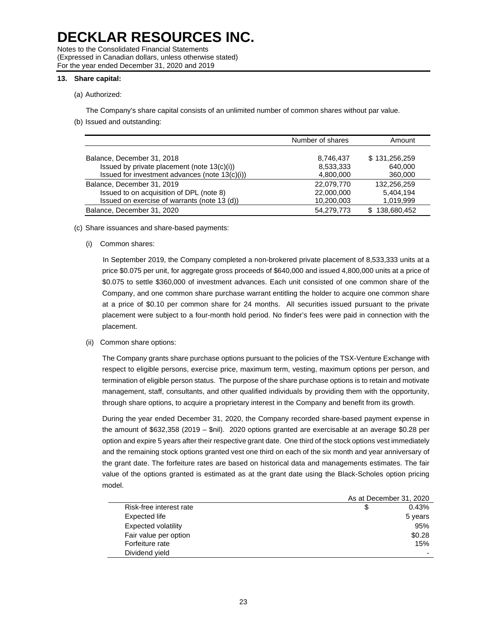Notes to the Consolidated Financial Statements (Expressed in Canadian dollars, unless otherwise stated) For the year ended December 31, 2020 and 2019

#### **13. Share capital:**

(a) Authorized:

The Company's share capital consists of an unlimited number of common shares without par value.

(b) Issued and outstanding:

|                                                | Number of shares | Amount        |
|------------------------------------------------|------------------|---------------|
| Balance, December 31, 2018                     | 8,746,437        | \$131,256,259 |
| Issued by private placement (note 13(c)(i))    | 8,533,333        | 640,000       |
| Issued for investment advances (note 13(c)(i)) | 4,800,000        | 360,000       |
| Balance, December 31, 2019                     | 22.079.770       | 132,256,259   |
| Issued to on acquisition of DPL (note 8)       | 22,000,000       | 5,404,194     |
| Issued on exercise of warrants (note 13 (d))   | 10,200,003       | 1,019,999     |
| Balance, December 31, 2020                     | 54,279,773       | 138,680,452   |

- (c) Share issuances and share-based payments:
	- (i) Common shares:

In September 2019, the Company completed a non-brokered private placement of 8,533,333 units at a price \$0.075 per unit, for aggregate gross proceeds of \$640,000 and issued 4,800,000 units at a price of \$0.075 to settle \$360,000 of investment advances. Each unit consisted of one common share of the Company, and one common share purchase warrant entitling the holder to acquire one common share at a price of \$0.10 per common share for 24 months. All securities issued pursuant to the private placement were subject to a four-month hold period. No finder's fees were paid in connection with the placement.

(ii) Common share options:

The Company grants share purchase options pursuant to the policies of the TSX-Venture Exchange with respect to eligible persons, exercise price, maximum term, vesting, maximum options per person, and termination of eligible person status. The purpose of the share purchase options is to retain and motivate management, staff, consultants, and other qualified individuals by providing them with the opportunity, through share options, to acquire a proprietary interest in the Company and benefit from its growth.

During the year ended December 31, 2020, the Company recorded share-based payment expense in the amount of \$632,358 (2019 – \$nil). 2020 options granted are exercisable at an average \$0.28 per option and expire 5 years after their respective grant date. One third of the stock options vest immediately and the remaining stock options granted vest one third on each of the six month and year anniversary of the grant date. The forfeiture rates are based on historical data and managements estimates. The fair value of the options granted is estimated as at the grant date using the Black-Scholes option pricing model.

|                         | As at December 31, 2020 |  |  |
|-------------------------|-------------------------|--|--|
| Risk-free interest rate | 0.43%<br>\$             |  |  |
| Expected life           | 5 years                 |  |  |
| Expected volatility     | 95%                     |  |  |
| Fair value per option   | \$0.28                  |  |  |
| Forfeiture rate         | 15%                     |  |  |
| Dividend yield          |                         |  |  |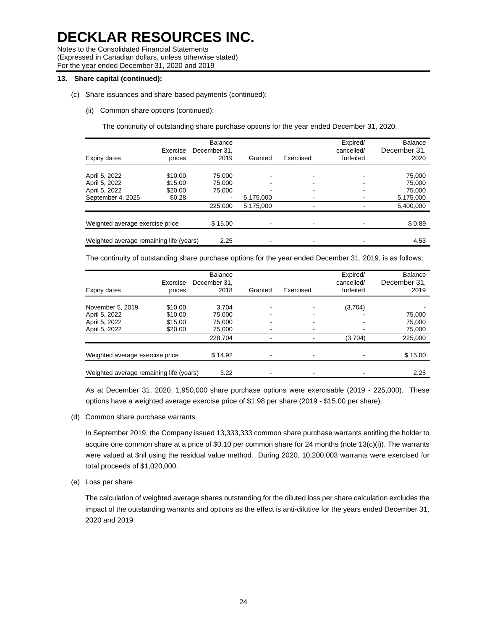Notes to the Consolidated Financial Statements (Expressed in Canadian dollars, unless otherwise stated) For the year ended December 31, 2020 and 2019

#### **13. Share capital (continued):**

- (c) Share issuances and share-based payments (continued):
	- (ii) Common share options (continued):

The continuity of outstanding share purchase options for the year ended December 31, 2020.

| Expiry dates                            | Exercise<br>prices | <b>Balance</b><br>December 31.<br>2019 | Granted   | Exercised | Expired/<br>cancelled/<br>forfeited | Balance<br>December 31,<br>2020 |
|-----------------------------------------|--------------------|----------------------------------------|-----------|-----------|-------------------------------------|---------------------------------|
| April 5, 2022                           | \$10.00            | 75.000                                 |           |           |                                     | 75,000                          |
| April 5, 2022                           | \$15.00            | 75.000                                 |           |           |                                     | 75,000                          |
| April 5, 2022                           | \$20.00            | 75.000                                 |           | -         |                                     | 75,000                          |
| September 4, 2025                       | \$0.28             |                                        | 5,175,000 |           |                                     | 5,175,000                       |
|                                         |                    | 225.000                                | 5.175.000 |           | -                                   | 5,400,000                       |
| Weighted average exercise price         |                    | \$15.00                                |           |           |                                     | \$0.89                          |
| Weighted average remaining life (years) |                    | 2.25                                   |           |           |                                     | 4.53                            |

The continuity of outstanding share purchase options for the year ended December 31, 2019, is as follows:

| Expiry dates                            | Exercise<br>prices | <b>Balance</b><br>December 31.<br>2018 | Granted | Exercised | Expired/<br>cancelled/<br>forfeited | <b>Balance</b><br>December 31,<br>2019 |
|-----------------------------------------|--------------------|----------------------------------------|---------|-----------|-------------------------------------|----------------------------------------|
| November 5, 2019                        | \$10.00            | 3.704                                  | ۰       |           | (3,704)                             |                                        |
| April 5, 2022                           | \$10.00            | 75,000                                 | ۰       |           |                                     | 75,000                                 |
| April 5, 2022                           | \$15.00            | 75,000                                 | ۰       |           |                                     | 75,000                                 |
| April 5, 2022                           | \$20.00            | 75,000                                 | ٠       |           |                                     | 75,000                                 |
|                                         |                    | 228,704                                |         |           | (3,704)                             | 225,000                                |
| Weighted average exercise price         |                    | \$14.92                                |         |           |                                     | \$15.00                                |
| Weighted average remaining life (years) |                    | 3.22                                   |         |           |                                     | 2.25                                   |

As at December 31, 2020, 1,950,000 share purchase options were exercisable (2019 - 225,000). These options have a weighted average exercise price of \$1.98 per share (2019 - \$15.00 per share).

(d) Common share purchase warrants

In September 2019, the Company issued 13,333,333 common share purchase warrants entitling the holder to acquire one common share at a price of \$0.10 per common share for 24 months (note 13(c)(i)). The warrants were valued at \$nil using the residual value method. During 2020, 10,200,003 warrants were exercised for total proceeds of \$1,020,000.

(e) Loss per share

The calculation of weighted average shares outstanding for the diluted loss per share calculation excludes the impact of the outstanding warrants and options as the effect is anti-dilutive for the years ended December 31, 2020 and 2019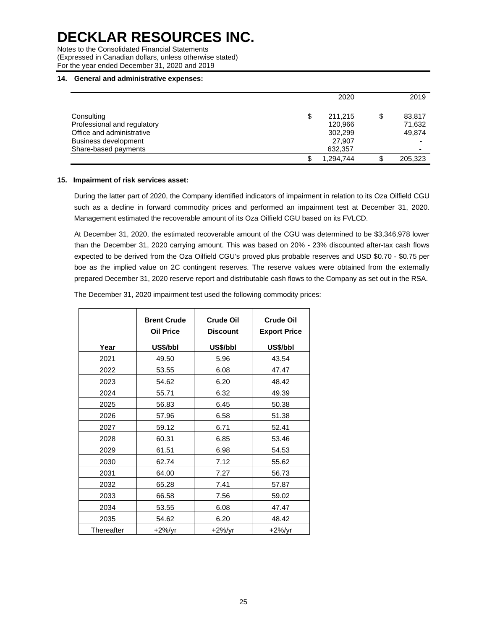Notes to the Consolidated Financial Statements (Expressed in Canadian dollars, unless otherwise stated) For the year ended December 31, 2020 and 2019

#### **14. General and administrative expenses:**

|                             | 2020          |    | 2019    |
|-----------------------------|---------------|----|---------|
|                             |               |    |         |
| Consulting                  | \$<br>211,215 | \$ | 83,817  |
| Professional and regulatory | 120,966       |    | 71,632  |
| Office and administrative   | 302,299       |    | 49,874  |
| Business development        | 27,907        |    |         |
| Share-based payments        | 632,357       |    | ٠       |
|                             | 1,294,744     | S  | 205,323 |

#### **15. Impairment of risk services asset:**

During the latter part of 2020, the Company identified indicators of impairment in relation to its Oza Oilfield CGU such as a decline in forward commodity prices and performed an impairment test at December 31, 2020. Management estimated the recoverable amount of its Oza Oilfield CGU based on its FVLCD.

At December 31, 2020, the estimated recoverable amount of the CGU was determined to be \$3,346,978 lower than the December 31, 2020 carrying amount. This was based on 20% - 23% discounted after-tax cash flows expected to be derived from the Oza Oilfield CGU's proved plus probable reserves and USD \$0.70 - \$0.75 per boe as the implied value on 2C contingent reserves. The reserve values were obtained from the externally prepared December 31, 2020 reserve report and distributable cash flows to the Company as set out in the RSA.

The December 31, 2020 impairment test used the following commodity prices:

|            | <b>Brent Crude</b> | <b>Crude Oil</b> | <b>Crude Oil</b>    |
|------------|--------------------|------------------|---------------------|
|            | <b>Oil Price</b>   | <b>Discount</b>  | <b>Export Price</b> |
| Year       | US\$/bbl           | US\$/bbl         | US\$/bbl            |
| 2021       | 49.50              | 5.96             | 43.54               |
| 2022       | 53.55              | 6.08             | 47.47               |
| 2023       | 54.62              | 6.20             | 48.42               |
| 2024       | 55.71              | 6.32             | 49.39               |
| 2025       | 56.83              | 6.45             | 50.38               |
| 2026       | 57.96              | 6.58             | 51.38               |
| 2027       | 59.12              | 6.71             | 52.41               |
| 2028       | 60.31              | 6.85             | 53.46               |
| 2029       | 61.51              | 6.98             | 54.53               |
| 2030       | 62.74              | 7.12             | 55.62               |
| 2031       | 64.00              | 7.27             | 56.73               |
| 2032       | 65.28              | 7.41             | 57.87               |
| 2033       | 66.58              | 7.56             | 59.02               |
| 2034       | 53.55              | 6.08             | 47.47               |
| 2035       | 54.62              | 6.20             | 48.42               |
| Thereafter | +2%/yr             | $+2\%$ /yr       | $+2\%$ /yr          |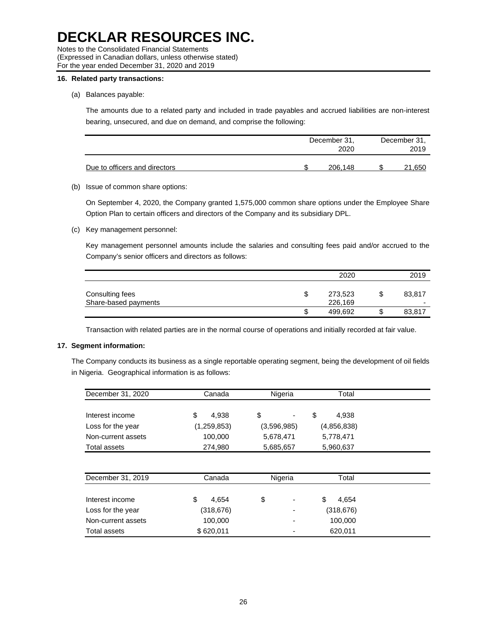Notes to the Consolidated Financial Statements (Expressed in Canadian dollars, unless otherwise stated) For the year ended December 31, 2020 and 2019

#### **16. Related party transactions:**

### (a) Balances payable:

The amounts due to a related party and included in trade payables and accrued liabilities are non-interest bearing, unsecured, and due on demand, and comprise the following:

|                               | December 31,<br>2020 |         |  | December 31,<br>2019 |  |  |
|-------------------------------|----------------------|---------|--|----------------------|--|--|
| Due to officers and directors |                      | 206.148 |  | 21,650               |  |  |

### (b) Issue of common share options:

On September 4, 2020, the Company granted 1,575,000 common share options under the Employee Share Option Plan to certain officers and directors of the Company and its subsidiary DPL.

(c) Key management personnel:

Key management personnel amounts include the salaries and consulting fees paid and/or accrued to the Company's senior officers and directors as follows:

|                                         | 2020                     |    | 2019                               |
|-----------------------------------------|--------------------------|----|------------------------------------|
| Consulting fees<br>Share-based payments | \$<br>273,523<br>226.169 | J  | 83,817<br>$\overline{\phantom{0}}$ |
|                                         | \$<br>499,692            | ۰D | 83,817                             |

Transaction with related parties are in the normal course of operations and initially recorded at fair value.

### **17. Segment information:**

The Company conducts its business as a single reportable operating segment, being the development of oil fields in Nigeria. Geographical information is as follows:

| December 31, 2020  | Canada      | Nigeria     | Total       |  |
|--------------------|-------------|-------------|-------------|--|
|                    |             |             |             |  |
| Interest income    | \$<br>4,938 | \$          | \$<br>4,938 |  |
| Loss for the year  | (1,259,853) | (3.596.985) | (4,856,838) |  |
| Non-current assets | 100,000     | 5,678,471   | 5,778,471   |  |
| Total assets       | 274,980     | 5,685,657   | 5,960,637   |  |
|                    |             |             |             |  |
| December 31, 2019  | Canada      | Nigeria     | Total       |  |
| Interest income    | \$<br>4,654 | \$<br>۰     | \$<br>4,654 |  |
| Loss for the year  | (318,676)   |             | (318,676)   |  |
| Non-current assets | 100,000     |             | 100,000     |  |
| Total assets       | \$620,011   |             | 620,011     |  |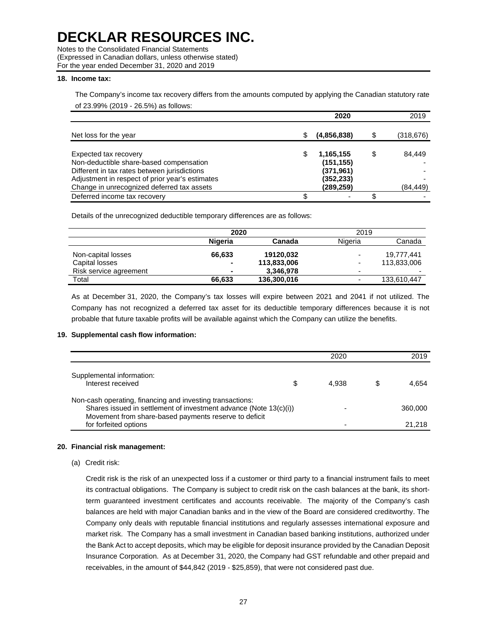Notes to the Consolidated Financial Statements (Expressed in Canadian dollars, unless otherwise stated) For the year ended December 31, 2020 and 2019

#### **18. Income tax:**

The Company's income tax recovery differs from the amounts computed by applying the Canadian statutory rate of 23.99% (2019 - 26.5%) as follows:

|                                                                                                                                                                                                                   |   | 2020                                                             | 2019                |
|-------------------------------------------------------------------------------------------------------------------------------------------------------------------------------------------------------------------|---|------------------------------------------------------------------|---------------------|
| Net loss for the year                                                                                                                                                                                             |   | (4,856,838)                                                      | (318,676)           |
| Expected tax recovery<br>Non-deductible share-based compensation<br>Different in tax rates between jurisdictions<br>Adjustment in respect of prior year's estimates<br>Change in unrecognized deferred tax assets | S | 1,165,155<br>(151, 155)<br>(371, 961)<br>(352, 233)<br>(289,259) | 84.449<br>(84, 449) |
| Deferred income tax recovery                                                                                                                                                                                      |   |                                                                  |                     |

Details of the unrecognized deductible temporary differences are as follows:

|                        | 2020    |             | 2019                     |                          |
|------------------------|---------|-------------|--------------------------|--------------------------|
|                        | Nigeria | Canada      | Nigeria                  | Canada                   |
| Non-capital losses     | 66,633  | 19120.032   | $\overline{\phantom{a}}$ | 19.777.441               |
| Capital losses         |         | 113,833,006 | $\overline{\phantom{a}}$ | 113,833,006              |
| Risk service agreement |         | 3,346,978   | $\overline{\phantom{0}}$ | $\overline{\phantom{0}}$ |
| Total                  | 66.633  | 136,300,016 | $\overline{\phantom{a}}$ | 133.610.447              |

As at December 31, 2020, the Company's tax losses will expire between 2021 and 2041 if not utilized. The Company has not recognized a deferred tax asset for its deductible temporary differences because it is not probable that future taxable profits will be available against which the Company can utilize the benefits.

#### **19. Supplemental cash flow information:**

|                                                                                                                                                                                         |    | 2020  |     | 2019    |
|-----------------------------------------------------------------------------------------------------------------------------------------------------------------------------------------|----|-------|-----|---------|
| Supplemental information:<br>Interest received                                                                                                                                          | \$ | 4.938 | \$. | 4.654   |
| Non-cash operating, financing and investing transactions:<br>Shares issued in settlement of investment advance (Note 13(c)(i))<br>Movement from share-based payments reserve to deficit |    |       |     | 360,000 |
| for forfeited options                                                                                                                                                                   |    |       |     | 21.218  |

#### **20. Financial risk management:**

(a) Credit risk:

Credit risk is the risk of an unexpected loss if a customer or third party to a financial instrument fails to meet its contractual obligations. The Company is subject to credit risk on the cash balances at the bank, its shortterm guaranteed investment certificates and accounts receivable. The majority of the Company's cash balances are held with major Canadian banks and in the view of the Board are considered creditworthy. The Company only deals with reputable financial institutions and regularly assesses international exposure and market risk. The Company has a small investment in Canadian based banking institutions, authorized under the Bank Act to accept deposits, which may be eligible for deposit insurance provided by the Canadian Deposit Insurance Corporation. As at December 31, 2020, the Company had GST refundable and other prepaid and receivables, in the amount of \$44,842 (2019 - \$25,859), that were not considered past due.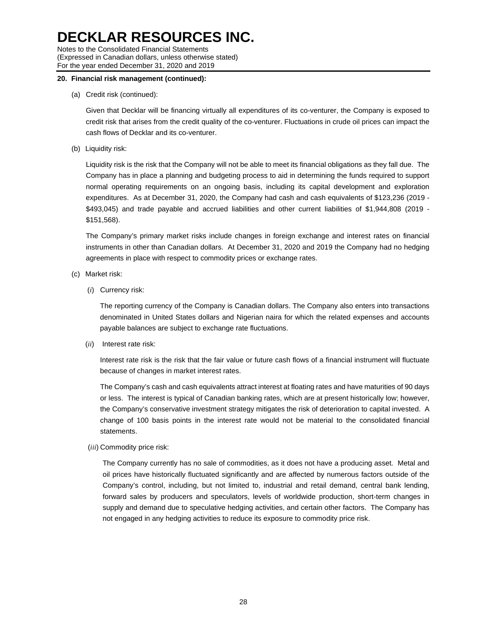Notes to the Consolidated Financial Statements (Expressed in Canadian dollars, unless otherwise stated) For the year ended December 31, 2020 and 2019

#### **20. Financial risk management (continued):**

(a) Credit risk (continued):

Given that Decklar will be financing virtually all expenditures of its co-venturer, the Company is exposed to credit risk that arises from the credit quality of the co-venturer. Fluctuations in crude oil prices can impact the cash flows of Decklar and its co-venturer.

(b) Liquidity risk:

Liquidity risk is the risk that the Company will not be able to meet its financial obligations as they fall due. The Company has in place a planning and budgeting process to aid in determining the funds required to support normal operating requirements on an ongoing basis, including its capital development and exploration expenditures. As at December 31, 2020, the Company had cash and cash equivalents of \$123,236 (2019 - \$493,045) and trade payable and accrued liabilities and other current liabilities of \$1,944,808 (2019 - \$151,568).

The Company's primary market risks include changes in foreign exchange and interest rates on financial instruments in other than Canadian dollars. At December 31, 2020 and 2019 the Company had no hedging agreements in place with respect to commodity prices or exchange rates.

- (c) Market risk:
	- (*i*) Currency risk:

The reporting currency of the Company is Canadian dollars. The Company also enters into transactions denominated in United States dollars and Nigerian naira for which the related expenses and accounts payable balances are subject to exchange rate fluctuations.

(*ii*) Interest rate risk:

Interest rate risk is the risk that the fair value or future cash flows of a financial instrument will fluctuate because of changes in market interest rates.

The Company's cash and cash equivalents attract interest at floating rates and have maturities of 90 days or less. The interest is typical of Canadian banking rates, which are at present historically low; however, the Company's conservative investment strategy mitigates the risk of deterioration to capital invested. A change of 100 basis points in the interest rate would not be material to the consolidated financial statements.

(*iii*) Commodity price risk:

The Company currently has no sale of commodities, as it does not have a producing asset. Metal and oil prices have historically fluctuated significantly and are affected by numerous factors outside of the Company's control, including, but not limited to, industrial and retail demand, central bank lending, forward sales by producers and speculators, levels of worldwide production, short-term changes in supply and demand due to speculative hedging activities, and certain other factors. The Company has not engaged in any hedging activities to reduce its exposure to commodity price risk.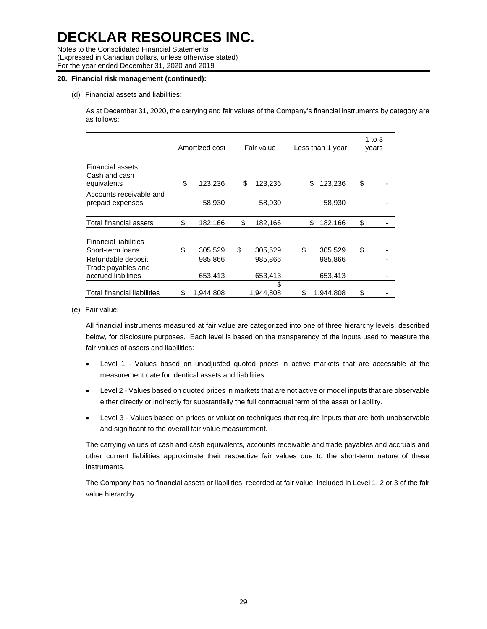Notes to the Consolidated Financial Statements (Expressed in Canadian dollars, unless otherwise stated) For the year ended December 31, 2020 and 2019

#### **20. Financial risk management (continued):**

(d) Financial assets and liabilities:

As at December 31, 2020, the carrying and fair values of the Company's financial instruments by category are as follows:

|                                                                                                                     | Amortized cost |                               | Fair value |                               | Less than 1 year |                               | 1 to 3<br>vears |  |
|---------------------------------------------------------------------------------------------------------------------|----------------|-------------------------------|------------|-------------------------------|------------------|-------------------------------|-----------------|--|
| Financial assets<br>Cash and cash<br>equivalents                                                                    | \$             | 123,236                       | \$         | 123,236                       | \$               | 123,236                       | \$              |  |
| Accounts receivable and<br>prepaid expenses                                                                         |                | 58,930                        |            | 58,930                        |                  | 58,930                        |                 |  |
| Total financial assets                                                                                              | \$             | 182,166                       | \$         | 182,166                       | \$               | 182,166                       | \$              |  |
| <b>Financial liabilities</b><br>Short-term loans<br>Refundable deposit<br>Trade payables and<br>accrued liabilities | \$             | 305,529<br>985,866<br>653,413 | \$         | 305,529<br>985,866<br>653,413 | \$               | 305,529<br>985,866<br>653,413 | \$              |  |
| Total financial liabilities                                                                                         | \$             | 1.944.808                     |            | \$<br>1,944,808               | \$               | 1.944.808                     | \$              |  |

(e) Fair value:

All financial instruments measured at fair value are categorized into one of three hierarchy levels, described below, for disclosure purposes. Each level is based on the transparency of the inputs used to measure the fair values of assets and liabilities:

- Level 1 Values based on unadjusted quoted prices in active markets that are accessible at the measurement date for identical assets and liabilities.
- Level 2 Values based on quoted prices in markets that are not active or model inputs that are observable either directly or indirectly for substantially the full contractual term of the asset or liability.
- Level 3 Values based on prices or valuation techniques that require inputs that are both unobservable and significant to the overall fair value measurement.

The carrying values of cash and cash equivalents, accounts receivable and trade payables and accruals and other current liabilities approximate their respective fair values due to the short-term nature of these instruments.

The Company has no financial assets or liabilities, recorded at fair value, included in Level 1, 2 or 3 of the fair value hierarchy.